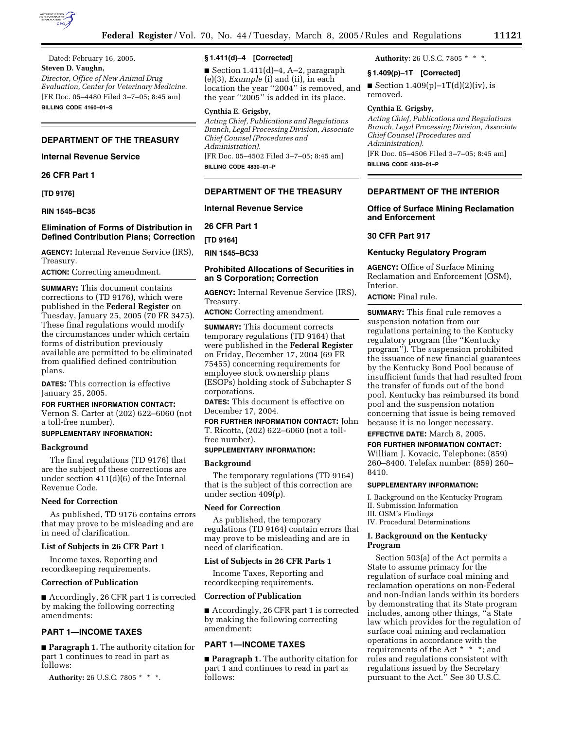

Dated: February 16, 2005. **Steven D. Vaughn,** *Director, Office of New Animal Drug Evaluation, Center for Veterinary Medicine.* [FR Doc. 05–4480 Filed 3–7–05; 8:45 am] **BILLING CODE 4160–01–S**

# **DEPARTMENT OF THE TREASURY**

# **Internal Revenue Service**

**26 CFR Part 1** 

**[TD 9176]** 

## **RIN 1545–BC35**

# **Elimination of Forms of Distribution in Defined Contribution Plans; Correction**

**AGENCY:** Internal Revenue Service (IRS), Treasury.

**ACTION:** Correcting amendment.

**SUMMARY:** This document contains corrections to (TD 9176), which were published in the **Federal Register** on Tuesday, January 25, 2005 (70 FR 3475). These final regulations would modify the circumstances under which certain forms of distribution previously available are permitted to be eliminated from qualified defined contribution plans.

**DATES:** This correction is effective January 25, 2005.

## **FOR FURTHER INFORMATION CONTACT:**

Vernon S. Carter at (202) 622–6060 (not a toll-free number).

#### **SUPPLEMENTARY INFORMATION:**

### **Background**

The final regulations (TD 9176) that are the subject of these corrections are under section 411(d)(6) of the Internal Revenue Code.

#### **Need for Correction**

As published, TD 9176 contains errors that may prove to be misleading and are in need of clarification.

## **List of Subjects in 26 CFR Part 1**

Income taxes, Reporting and recordkeeping requirements.

#### **Correction of Publication**

■ Accordingly, 26 CFR part 1 is corrected by making the following correcting amendments:

# **PART 1—INCOME TAXES**

■ **Paragraph 1.** The authority citation for part 1 continues to read in part as follows:

**Authority:** 26 U.S.C. 7805 \* \* \*.

## **§ 1.411(d)–4 [Corrected]**

Gection  $1.411(d)$ –4, A–2, paragraph (e)(3), *Example* (i) and (ii), in each location the year "2004" is removed, and the year ''2005'' is added in its place.

## **Cynthia E. Grigsby,**

*Acting Chief, Publications and Regulations Branch, Legal Processing Division, Associate Chief Counsel (Procedures and Administration).* [FR Doc. 05–4502 Filed 3–7–05; 8:45 am]

**BILLING CODE 4830–01–P**

#### **DEPARTMENT OF THE TREASURY**

#### **Internal Revenue Service**

**26 CFR Part 1** 

**[TD 9164]** 

**RIN 1545–BC33** 

# **Prohibited Allocations of Securities in an S Corporation; Correction**

**AGENCY:** Internal Revenue Service (IRS), Treasury.

**ACTION:** Correcting amendment.

**SUMMARY:** This document corrects temporary regulations (TD 9164) that were published in the **Federal Register** on Friday, December 17, 2004 (69 FR 75455) concerning requirements for employee stock ownership plans (ESOPs) holding stock of Subchapter S corporations.

**DATES:** This document is effective on December 17, 2004.

**FOR FURTHER INFORMATION CONTACT:** John T. Ricotta, (202) 622–6060 (not a tollfree number).

# **SUPPLEMENTARY INFORMATION:**

## **Background**

The temporary regulations (TD 9164) that is the subject of this correction are under section 409(p).

## **Need for Correction**

As published, the temporary regulations (TD 9164) contain errors that may prove to be misleading and are in need of clarification.

# **List of Subjects in 26 CFR Parts 1**

Income Taxes, Reporting and recordkeeping requirements.

# **Correction of Publication**

■ Accordingly, 26 CFR part 1 is corrected by making the following correcting amendment:

# **PART 1—INCOME TAXES**

■ **Paragraph 1.** The authority citation for part 1 and continues to read in part as follows:

**Authority:** 26 U.S.C. 7805 \* \* \*.

### **§ 1.409(p)–1T [Corrected]**

■ Section  $1.409(p)-1T(d)(2)(iv)$ , is removed.

#### **Cynthia E. Grigsby,**

*Acting Chief, Publications and Regulations Branch, Legal Processing Division, Associate Chief Counsel (Procedures and Administration).* [FR Doc. 05–4506 Filed 3–7–05; 8:45 am] **BILLING CODE 4830–01–P**

## **DEPARTMENT OF THE INTERIOR**

## **Office of Surface Mining Reclamation and Enforcement**

#### **30 CFR Part 917**

## **Kentucky Regulatory Program**

**AGENCY:** Office of Surface Mining Reclamation and Enforcement (OSM), Interior.

# **ACTION:** Final rule.

**SUMMARY:** This final rule removes a suspension notation from our regulations pertaining to the Kentucky regulatory program (the ''Kentucky program''). The suspension prohibited the issuance of new financial guarantees by the Kentucky Bond Pool because of insufficient funds that had resulted from the transfer of funds out of the bond pool. Kentucky has reimbursed its bond pool and the suspension notation concerning that issue is being removed because it is no longer necessary. **EFFECTIVE DATE:** March 8, 2005.

#### **FOR FURTHER INFORMATION CONTACT:**

William J. Kovacic, Telephone: (859) 260–8400. Telefax number: (859) 260– 8410.

#### **SUPPLEMENTARY INFORMATION:**

I. Background on the Kentucky Program II. Submission Information III. OSM's Findings

IV. Procedural Determinations

## **I. Background on the Kentucky Program**

Section 503(a) of the Act permits a State to assume primacy for the regulation of surface coal mining and reclamation operations on non-Federal and non-Indian lands within its borders by demonstrating that its State program includes, among other things, ''a State law which provides for the regulation of surface coal mining and reclamation operations in accordance with the requirements of the Act \* \* \*; and rules and regulations consistent with regulations issued by the Secretary pursuant to the Act.'' See 30 U.S.C.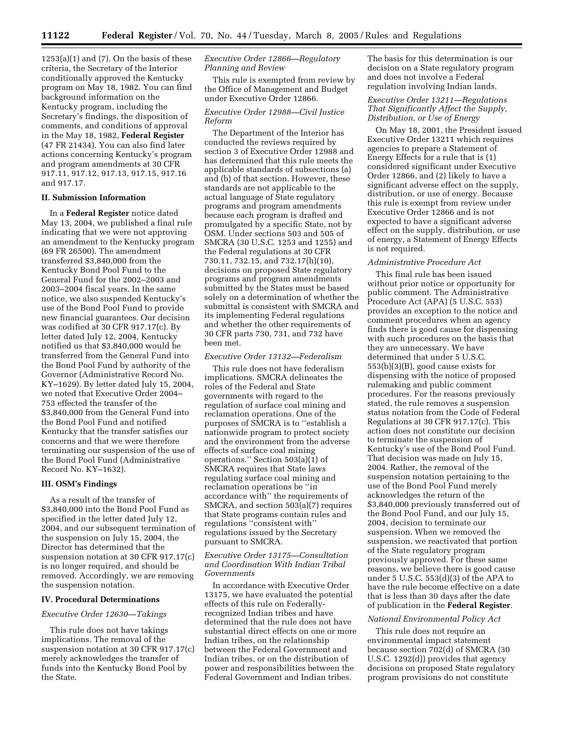$1253(a)(1)$  and  $(7)$ . On the basis of these criteria, the Secretary of the Interior conditionally approved the Kentucky program on May 18, 1982. You can find background information on the Kentucky program, including the Secretary's findings, the disposition of comments, and conditions of approval in the May 18, 1982, **Federal Register** (47 FR 21434). You can also find later actions concerning Kentucky's program and program amendments at 30 CFR 917.11, 917.12, 917.13, 917.15, 917.16 and 917.17.

# **II. Submission Information**

In a **Federal Register** notice dated May 13, 2004, we published a final rule indicating that we were not approving an amendment to the Kentucky program (69 FR 26500). The amendment transferred \$3,840,000 from the Kentucky Bond Pool Fund to the General Fund for the 2002–2003 and 2003–2004 fiscal years. In the same notice, we also suspended Kentucky's use of the Bond Pool Fund to provide new financial guarantees. Our decision was codified at 30 CFR 917.17(c). By letter dated July 12, 2004, Kentucky notified us that \$3,840,000 would be transferred from the General Fund into the Bond Pool Fund by authority of the Governor (Administrative Record No. KY–1629). By letter dated July 15, 2004, we noted that Executive Order 2004– 753 effected the transfer of the \$3,840,000 from the General Fund into the Bond Pool Fund and notified Kentucky that the transfer satisfies our concerns and that we were therefore terminating our suspension of the use of the Bond Pool Fund (Administrative Record No. KY–1632).

### **III. OSM's Findings**

As a result of the transfer of \$3,840,000 into the Bond Pool Fund as specified in the letter dated July 12, 2004, and our subsequent termination of the suspension on July 15, 2004, the Director has determined that the suspension notation at 30 CFR 917.17(c) is no longer required, and should be removed. Accordingly, we are removing the suspension notation.

#### **IV. Procedural Determinations**

#### *Executive Order 12630—Takings*

This rule does not have takings implications. The removal of the suspension notation at 30 CFR 917.17(c) merely acknowledges the transfer of funds into the Kentucky Bond Pool by the State.

# *Executive Order 12866—Regulatory Planning and Review*

This rule is exempted from review by the Office of Management and Budget under Executive Order 12866.

## *Executive Order 12988—Civil Justice Reform*

The Department of the Interior has conducted the reviews required by section 3 of Executive Order 12988 and has determined that this rule meets the applicable standards of subsections (a) and (b) of that section. However, these standards are not applicable to the actual language of State regulatory programs and program amendments because each program is drafted and promulgated by a specific State, not by OSM. Under sections 503 and 505 of SMCRA (30 U.S.C. 1253 and 1255) and the Federal regulations at 30 CFR 730.11, 732.15, and 732.17(h)(10), decisions on proposed State regulatory programs and program amendments submitted by the States must be based solely on a determination of whether the submittal is consistent with SMCRA and its implementing Federal regulations and whether the other requirements of 30 CFR parts 730, 731, and 732 have been met.

## *Executive Order 13132—Federalism*

This rule does not have federalism implications. SMCRA delineates the roles of the Federal and State governments with regard to the regulation of surface coal mining and reclamation operations. One of the purposes of SMCRA is to ''establish a nationwide program to protect society and the environment from the adverse effects of surface coal mining operations.'' Section 503(a)(1) of SMCRA requires that State laws regulating surface coal mining and reclamation operations be ''in accordance with'' the requirements of SMCRA, and section 503(a)(7) requires that State programs contain rules and regulations ''consistent with'' regulations issued by the Secretary pursuant to SMCRA.

## *Executive Order 13175—Consultation and Coordination With Indian Tribal Governments*

In accordance with Executive Order 13175, we have evaluated the potential effects of this rule on Federallyrecognized Indian tribes and have determined that the rule does not have substantial direct effects on one or more Indian tribes, on the relationship between the Federal Government and Indian tribes, or on the distribution of power and responsibilities between the Federal Government and Indian tribes.

The basis for this determination is our decision on a State regulatory program and does not involve a Federal regulation involving Indian lands.

# *Executive Order 13211—Regulations That Significantly Affect the Supply, Distribution, or Use of Energy*

On May 18, 2001, the President issued Executive Order 13211 which requires agencies to prepare a Statement of Energy Effects for a rule that is (1) considered significant under Executive Order 12866, and (2) likely to have a significant adverse effect on the supply, distribution, or use of energy. Because this rule is exempt from review under Executive Order 12866 and is not expected to have a significant adverse effect on the supply, distribution, or use of energy, a Statement of Energy Effects is not required.

## *Administrative Procedure Act*

This final rule has been issued without prior notice or opportunity for public comment. The Administrative Procedure Act (APA) (5 U.S.C. 553) provides an exception to the notice and comment procedures when an agency finds there is good cause for dispensing with such procedures on the basis that they are unnecessary. We have determined that under 5 U.S.C. 553(b)(3)(B), good cause exists for dispensing with the notice of proposed rulemaking and public comment procedures. For the reasons previously stated, the rule removes a suspension status notation from the Code of Federal Regulations at 30 CFR 917.17(c). This action does not constitute our decision to terminate the suspension of Kentucky's use of the Bond Pool Fund. That decision was made on July 15, 2004. Rather, the removal of the suspension notation pertaining to the use of the Bond Pool Fund merely acknowledges the return of the \$3,840,000 previously transferred out of the Bond Pool Fund, and our July 15, 2004, decision to terminate our suspension. When we removed the suspension, we reactivated that portion of the State regulatory program previously approved. For these same reasons, we believe there is good cause under 5 U.S.C. 553(d)(3) of the APA to have the rule become effective on a date that is less than 30 days after the date of publication in the **Federal Register**.

### *National Environmental Policy Act*

This rule does not require an environmental impact statement because section 702(d) of SMCRA (30 U.S.C. 1292(d)) provides that agency decisions on proposed State regulatory program provisions do not constitute